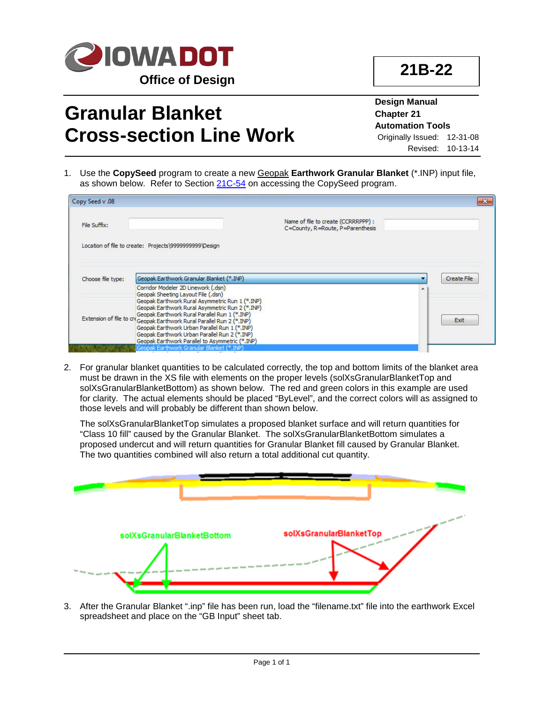

## **Granular Blanket Cross-section Line Work**

**Design Manual Chapter 21 Automation Tools** Originally Issued: 12-31-08 Revised: 10-13-14

1. Use the **CopySeed** program to create a new Geopak **Earthwork Granular Blanket** (\*.INP) input file, as shown below. Refer to Section 21C-54 on accessing the CopySeed program.

| Copy Seed v .08   |                                                                                                                                                                                                                                                                                                                                 |                                                                         |                    |
|-------------------|---------------------------------------------------------------------------------------------------------------------------------------------------------------------------------------------------------------------------------------------------------------------------------------------------------------------------------|-------------------------------------------------------------------------|--------------------|
| File Suffix:      |                                                                                                                                                                                                                                                                                                                                 | Name of file to create (CCRRRPPP) :<br>C=County, R=Route, P=Parenthesis |                    |
|                   | Location of file to create: Projects\9999999999\Design                                                                                                                                                                                                                                                                          |                                                                         |                    |
| Choose file type: | Geopak Earthwork Granular Blanket (*.INP)                                                                                                                                                                                                                                                                                       |                                                                         | <b>Create File</b> |
|                   | Corridor Modeler 2D Linework (.dsn)<br>Geopak Sheeting Layout File (.dsn)                                                                                                                                                                                                                                                       |                                                                         |                    |
|                   | Geopak Earthwork Rural Asymmetric Run 1 (*.INP)<br>Geopak Earthwork Rural Asymmetric Run 2 (*.INP)<br>Geopak Earthwork Rural Parallel Run 1 (*.INP)<br>Extension of file to cre Geopak Earthwork Rural Parallel Run 2 (*.INP)<br>Geopak Earthwork Urban Parallel Run 1 (*.INP)<br>Geopak Earthwork Urban Parallel Run 2 (*.INP) |                                                                         | Exit               |
|                   | Geopak Earthwork Parallel to Asymmetric (*.INP)<br>Geopak Earthwork Granular Blanket (*.INP)                                                                                                                                                                                                                                    |                                                                         |                    |

2. For granular blanket quantities to be calculated correctly, the top and bottom limits of the blanket area must be drawn in the XS file with elements on the proper levels (solXsGranularBlanketTop and solXsGranularBlanketBottom) as shown below. The red and green colors in this example are used for clarity. The actual elements should be placed "ByLevel", and the correct colors will as assigned to those levels and will probably be different than shown below.

The solXsGranularBlanketTop simulates a proposed blanket surface and will return quantities for "Class 10 fill" caused by the Granular Blanket. The solXsGranularBlanketBottom simulates a proposed undercut and will return quantities for Granular Blanket fill caused by Granular Blanket. The two quantities combined will also return a total additional cut quantity.



3. After the Granular Blanket ".inp" file has been run, load the "filename.txt" file into the earthwork Excel spreadsheet and place on the "GB Input" sheet tab.